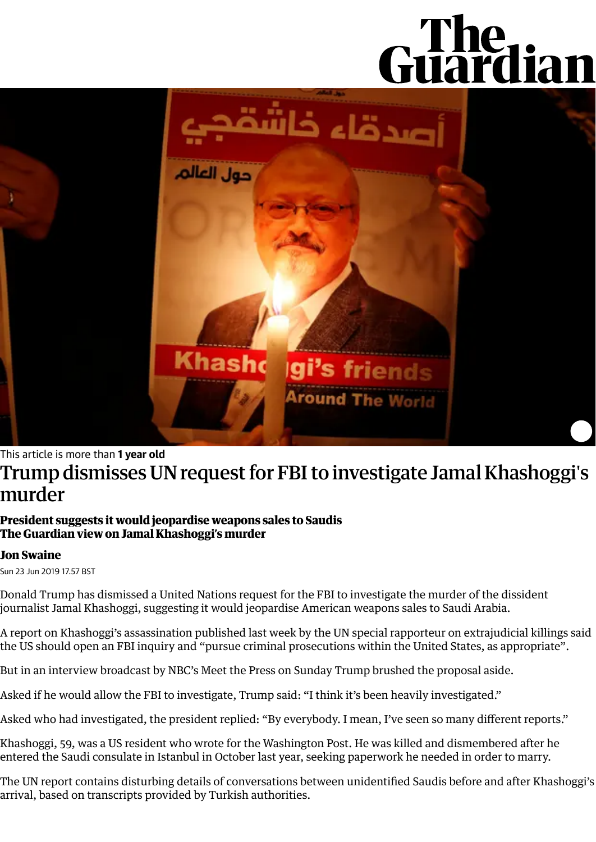# Guardian



### This article is more than **1 year old**

# Trump dismisses UN request for FBI to investigate Jamal Khashoggi's murder

### **President suggests it would jeopardise weapons sales to Saudis The Guardian view on Jamal [Khashoggi's](https://www.theguardian.com/commentisfree/2019/jun/19/the-guardian-view-on-jamal-khashoggis-murder-saudi-arabia-and-its-friends) murder**

### **Jon [Swaine](https://www.theguardian.com/profile/jon-swaine)**

Sun 23 Jun 2019 17.57 BST

Donald Trump has dismissed a United Nations request for the FBI to investigate the murder of the dissident journalist Jamal [Khashoggi,](https://www.theguardian.com/world/jamal-khashoggi) suggesting it would jeopardise American weapons sales to Saudi Arabia.

A report on Khashoggi's [assassination](https://www.ohchr.org/en/NewsEvents/Pages/DisplayNews.aspx?NewsID=24713&LangID=E) published last week by the UN special rapporteur on extrajudicial killings said the US should open an FBI inquiry and "pursue criminal prosecutions within the United States, as appropriate".

But in an interview broadcast by NBC's Meet the Press on Sunday Trump brushed the proposal aside.

Asked if he would allow the FBI to investigate, Trump said: "I think it's been heavily investigated."

Asked who had investigated, the president replied: "By everybody. I mean, I've seen so many different reports."

Khashoggi, 59, was a US resident who wrote for the Washington Post. He was killed and dismembered after he entered the Saudi consulate in Istanbul in October last year, seeking paperwork he needed in order to marry.

The UN report contains [disturbing](https://www.theguardian.com/world/2019/jun/19/consulate-recordings-reveal-saudi-plan-for-jamal-khashoggi) details of conversations between unidentified Saudis before and after Khashoggi's arrival, based on transcripts provided by Turkish authorities.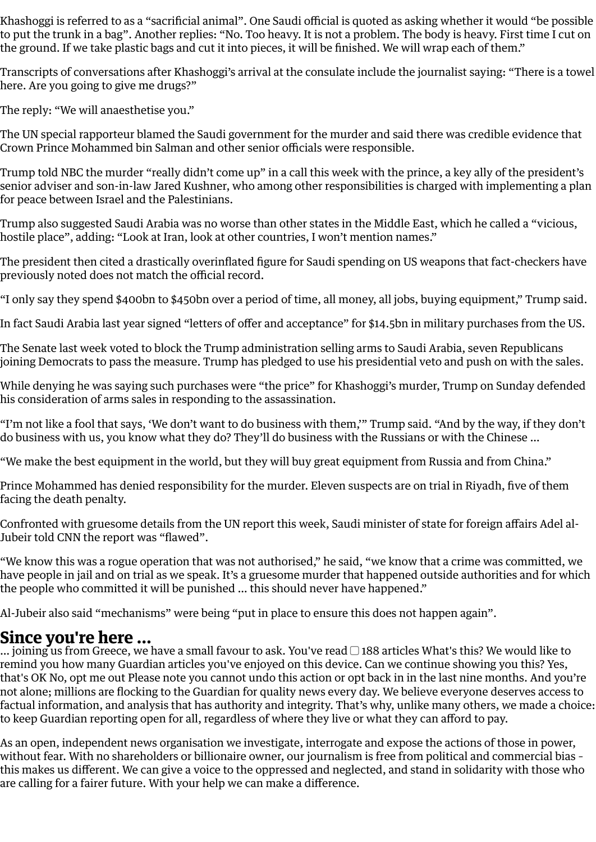Khashoggi is referred to as a "sacrificial animal". One Saudi official is quoted as asking whether it would "be possible to put the trunk in a bag". Another replies: "No. Too heavy. It is not a problem. The body is heavy. First time I cut on the ground. If we take plastic bags and cut it into pieces, it will be finished. We will wrap each of them."

Transcripts of conversations after Khashoggi's arrival at the consulate include the journalist saying: "There is a towel here. Are you going to give me drugs?"

The reply: "We will anaesthetise you."

The UN special rapporteur blamed the Saudi government for the murder and said there was credible evidence that Crown Prince [Mohammed](https://www.theguardian.com/world/mohammed-bin-salman) bin Salman and other senior officials were responsible.

Trump told NBC the murder "really didn't come up" in a call this week with the prince, a key ally of the president's senior adviser and son-in-law Jared Kushner, who among other responsibilities is charged with implementing a plan for peace between Israel and the Palestinians.

Trump also suggested Saudi [Arabia](https://www.theguardian.com/world/saudiarabia) was no worse than other states in the Middle East, which he called a "vicious, hostile place", adding: "Look at Iran, look at other countries, I won't mention names."

The president then cited a drastically overinflated figure for Saudi spending on US weapons that fact-checkers have [previously](https://www.apnews.com/2b4799b3d3ca4f6781efe1e70f207392) noted does not match the official record.

"I only say they spend \$400bn to \$450bn over a period of time, all money, all jobs, buying equipment," Trump said.

In fact Saudi Arabia last year signed "letters of offer and acceptance" for \$14.5bn in military purchases from the US.

The Senate last week voted to block the Trump administration selling arms to Saudi Arabia, seven Republicans joining Democrats to pass the measure. Trump has pledged to use his presidential veto and push on with the sales.

While denying he was saying such purchases were "the price" for Khashoggi's murder, Trump on Sunday defended his consideration of arms sales in responding to the assassination.

"I'm not like a fool that says, 'We don't want to do business with them,'" Trump said. "And by the way, if they don't do business with us, you know what they do? They'll do business with the Russians or with the Chinese …

"We make the best equipment in the world, but they will buy great equipment from Russia and from China."

Prince Mohammed has denied responsibility for the murder. Eleven suspects are on trial in Riyadh, five of them facing the death penalty.

[Confronted](https://www.cnn.com/videos/world/2019/06/20/adel-al-jubeir-khashoggi-amanpour.cnn/video/playlists/amanpour/) with gruesome [details](https://www.theguardian.com/world/2019/jun/19/jamal-khashoggi-killing-saudi-crown-prince-mohammed-bin-salman-evidence-un-report) from the UN report this week, Saudi minister of state for foreign affairs Adel al-Jubeir told [CNN](https://www.cnn.com/2019/06/20/middleeast/saudi-arabia-adel-al-jubeir-amanpour-intl/index.html) the report was "flawed".

"We know this was a rogue operation that was not authorised," he said, "we know that a crime was committed, we have people in jail and on trial as we speak. It's a gruesome murder that happened outside authorities and for which the people who committed it will be punished … this should never have happened."

Al-Jubeir also said "mechanisms" were being "put in place to ensure this does not happen again".

## **Since you're here ...**

… joining us from Greece, we have a small favour to ask. You've read  $\Box$  188 articles What's this? We would like to remind you how many Guardian articles you've enjoyed on this device. Can we continue showing you this? Yes, that's OK No, opt me out Please note you cannot undo this action or opt back in in the last nine months. And you're not alone; millions are flocking to the Guardian for quality news every day. We believe everyone deserves access to factual information, and analysis that has authority and integrity. That's why, unlike many others, we made a choice: to keep Guardian reporting open for all, regardless of where they live or what they can afford to pay.

As an open, independent news organisation we investigate, interrogate and expose the actions of those in power, without fear. With no shareholders or billionaire owner, our journalism is free from political and commercial bias – this makes us different. We can give a voice to the oppressed and neglected, and stand in solidarity with those who are calling for a fairer future. With your help we can make a difference.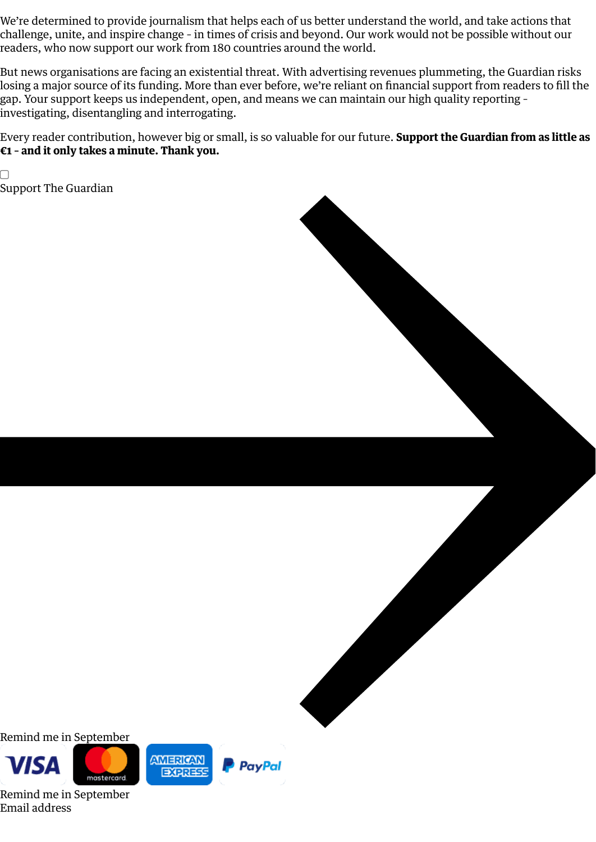We're determined to provide journalism that helps each of us better understand the world, and take actions that challenge, unite, and inspire change – in times of crisis and beyond. Our work would not be possible without our readers, who now support our work from 180 countries around the world.

But news organisations are facing an existential threat. With advertising revenues plummeting, the Guardian risks losing a major source of its funding. More than ever before, we're reliant on financial support from readers to fill the gap. Your support keeps us independent, open, and means we can maintain our high quality reporting – investigating, disentangling and interrogating.

Every reader contribution, however big or small, is so valuable for our future. **Support the Guardian from as little as €1 – and it only takes a minute. Thank you.**

 $\Box$ Support The [Guardian](https://support.theguardian.com/eu/contribute?REFPVID=kcdb1sram81oe7wjl1qc&INTCMP=gdnwb_copts_memco_2020-30-06_EPIC_COUNTRY_NAME__WITH_ARTICLECOUNT_V2_JOINING&acquisitionData=%7B%22source%22%3A%22GUARDIAN_WEB%22%2C%22componentId%22%3A%22gdnwb_copts_memco_2020-30-06_EPIC_COUNTRY_NAME__WITH_ARTICLECOUNT_V2_JOINING%22%2C%22componentType%22%3A%22ACQUISITIONS_EPIC%22%2C%22campaignCode%22%3A%22gdnwb_copts_memco_2020-30-06_EPIC_COUNTRY_NAME__WITH_ARTICLECOUNT_V2_JOINING%22%2C%22abTest%22%3A%7B%22name%22%3A%222020-30-06_EPIC_COUNTRY_NAME__WITH_ARTICLECOUNT%22%2C%22variant%22%3A%22V2_JOINING%22%7D%2C%22referrerPageviewId%22%3A%22kcdb1sram81oe7wjl1qc%22%2C%22referrerUrl%22%3A%22https%3A%2F%2Fwww.theguardian.com%2Fworld%2F2019%2Fjun%2F23%2Fjamal-khashoggi-trump-un-request-fbi-investigation%22%7D)



Remind me in September



Remind me in September Email address



**EXPRESS**